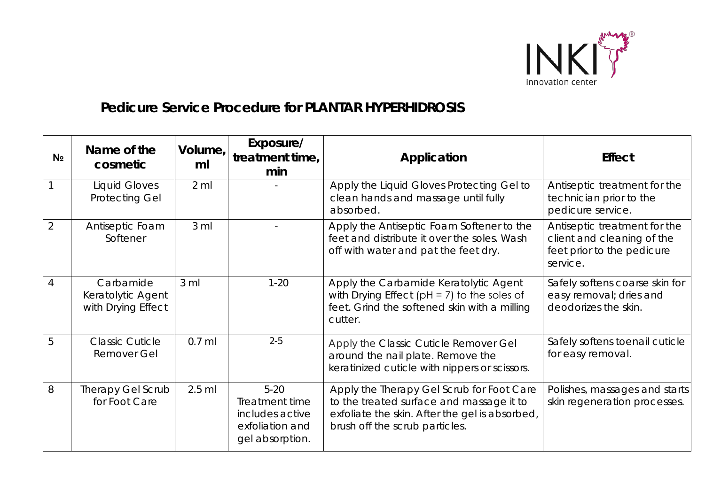

## *Pedicure Service Procedure for* **PLANTAR HYPERHIDROSIS**

| N <sub>2</sub> | Name of the<br>cosmetic                              | Volume,<br>ml    | Exposure/<br>treatment time,<br>min                                                 | Application                                                                                                                                                               | <b>Effect</b>                                                                                        |
|----------------|------------------------------------------------------|------------------|-------------------------------------------------------------------------------------|---------------------------------------------------------------------------------------------------------------------------------------------------------------------------|------------------------------------------------------------------------------------------------------|
|                | <b>Liquid Gloves</b><br><b>Protecting Gel</b>        | $2 \, \text{ml}$ |                                                                                     | Apply the Liquid Gloves Protecting Gel to<br>clean hands and massage until fully<br>absorbed.                                                                             | Antiseptic treatment for the<br>technician prior to the<br>pedicure service.                         |
| $\overline{2}$ | Antiseptic Foam<br>Softener                          | 3 <sub>m</sub>   |                                                                                     | Apply the Antiseptic Foam Softener to the<br>feet and distribute it over the soles. Wash<br>off with water and pat the feet dry.                                          | Antiseptic treatment for the<br>client and cleaning of the<br>feet prior to the pedicure<br>service. |
| 4              | Carbamide<br>Keratolytic Agent<br>with Drying Effect | $3 \text{ ml}$   | $1 - 20$                                                                            | Apply the Carbamide Keratolytic Agent<br>with Drying Effect ( $pH = 7$ ) to the soles of<br>feet. Grind the softened skin with a milling<br>cutter.                       | Safely softens coarse skin for<br>easy removal; dries and<br>deodorizes the skin.                    |
| 5              | <b>Classic Cuticle</b><br><b>Remover Gel</b>         | $0.7$ ml         | $2 - 5$                                                                             | Apply the Classic Cuticle Remover Gel<br>around the nail plate. Remove the<br>keratinized cuticle with nippers or scissors.                                               | Safely softens toenail cuticle<br>for easy removal.                                                  |
| 8              | Therapy Gel Scrub<br>for Foot Care                   | $2.5$ ml         | $5 - 20$<br>Treatment time<br>includes active<br>exfoliation and<br>gel absorption. | Apply the Therapy Gel Scrub for Foot Care<br>to the treated surface and massage it to<br>exfoliate the skin. After the gel is absorbed,<br>brush off the scrub particles. | Polishes, massages and starts<br>skin regeneration processes.                                        |